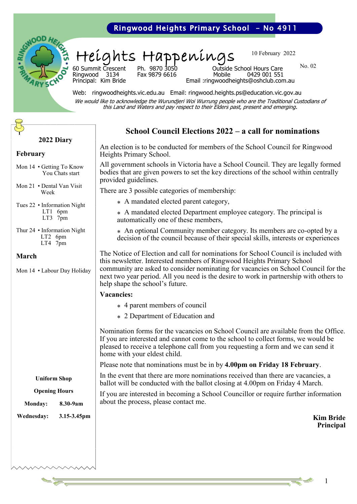### Ringwood Heights Primary School - No 4911



Heights Happenings

10 February 2022

No. 02

Ringwood 3134<br>Principal: Kim Bride

60 Summit Crescent Ph. 9870 3050 Outside School Hours Care

Email: ringwoodheights@oshclub.com.au

Web: ringwoodheights.vic.edu.au Email: ringwood.heights.ps@education.vic.gov.au We would like to acknowledge the Wurundjeri Woi Wurrung people who are the Traditional Custodians of this Land and Waters and pay respect to their Elders past, present and emerging.

### **School Council Elections 2022 – a call for nominations**

An election is to be conducted for members of the School Council for Ringwood Heights Primary School.

All government schools in Victoria have a School Council. They are legally formed bodies that are given powers to set the key directions of the school within centrally provided guidelines.

There are 3 possible categories of membership:

- ⁎ A mandated elected parent category,
- ⁎ A mandated elected Department employee category. The principal is automatically one of these members,
- ⁎ An optional Community member category. Its members are co-opted by a decision of the council because of their special skills, interests or experiences

The Notice of Election and call for nominations for School Council is included with this newsletter. Interested members of Ringwood Heights Primary School community are asked to consider nominating for vacancies on School Council for the next two year period. All you need is the desire to work in partnership with others to help shape the school's future.

#### **Vacancies:**

- ⁎ 4 parent members of council
- ⁎ 2 Department of Education and

Nomination forms for the vacancies on School Council are available from the Office. If you are interested and cannot come to the school to collect forms, we would be pleased to receive a telephone call from you requesting a form and we can send it home with your eldest child.

Please note that nominations must be in by **4.00pm on Friday 18 February**.

In the event that there are more nominations received than there are vacancies, a ballot will be conducted with the ballot closing at 4.00pm on Friday 4 March.

If you are interested in becoming a School Councillor or require further information about the process, please contact me.

> **Kim Bride Principal**

#### **2022 Diary**

#### **February**

- Mon 14 Getting To Know You Chats start
- Mon 21 Dental Van Visit Week
- Tues 22 Information Night LT1 6pm LT3 7pm
- Thur 24 Information Night LT2 6pm LT4 7pm

#### **March**

Mon 14 • Labour Day Holiday

#### **Uniform Shop**

#### **Opening Hours**

**Monday: 8.30-9am Wednesday: 3.15-3.45pm**

1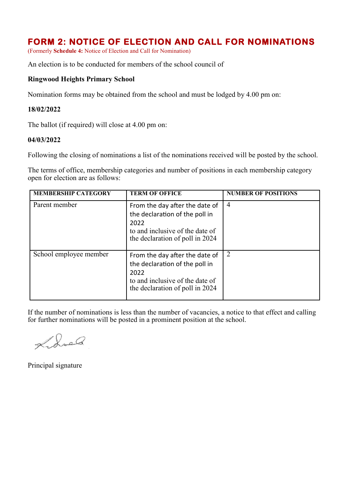## **FORM 2: NOTICE OF ELECTION AND CALL FOR NOMINATIONS**

(Formerly **Schedule 4:** Notice of Election and Call for Nomination)

An election is to be conducted for members of the school council of

#### **Ringwood Heights Primary School**

Nomination forms may be obtained from the school and must be lodged by 4.00 pm on:

#### **18/02/2022**

The ballot (if required) will close at 4.00 pm on:

#### **04/03/2022**

Following the closing of nominations a list of the nominations received will be posted by the school.

The terms of office, membership categories and number of positions in each membership category open for election are as follows:

| <b>MEMBERSHIP CATEGORY</b> | <b>TERM OF OFFICE</b>                                                                                                                          | <b>NUMBER OF POSITIONS</b> |
|----------------------------|------------------------------------------------------------------------------------------------------------------------------------------------|----------------------------|
| Parent member              | From the day after the date of<br>the declaration of the poll in<br>2022<br>to and inclusive of the date of<br>the declaration of poll in 2024 | $\overline{4}$             |
| School employee member     | From the day after the date of<br>the declaration of the poll in<br>2022<br>to and inclusive of the date of<br>the declaration of poll in 2024 | $\overline{2}$             |

If the number of nominations is less than the number of vacancies, a notice to that effect and calling for further nominations will be posted in a prominent position at the school.

Lidred

Principal signature